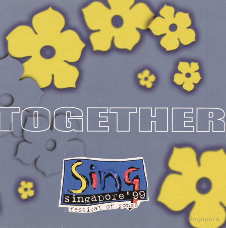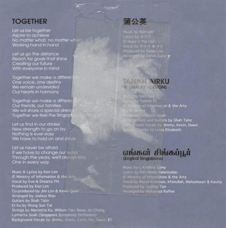## **TOGETHER**

Let us be together Aspire to achieve No matter what, no matter when Working hand in hand

Let us go the distance Reach for goals that shine Creating our future With everyone in mind

Together we make a differen One voice, one destiny We remain undevided Our hearts in harmony

Together we make a different Our friends, our families We will share a special drea Together we feel the Singar

Let us find in our strides New strength to go on by Nothing is ever easy We have to hold on and strive

Let us never be afraid If we have to change our ways Through the years, we'll always stay One in every way

Music & Lyrics by Ken Lim Ministry of Information & the Arts Vocal by Eve & Dreamz FM Produced by Ken Lim Co-produced by Jim Lim & Kevin Quah Arranged by Joshua Wan Guitars by Shah Tahir Er-hu by Wong Sun Tat Strings by Marrietta Ku, William Tan, Seow Jin Chong, Lynnette Seah (Singapore Symphony Orchestra) **Background Vocals by Jimmy**, Kevin, Cavin, Ric, Dawn, Elf **All Rights Reserved, National Library Board, Singapore** 

蒲公英

## **TANAH AIRKU R (MALAY VERSION)**

y Dick iy Yusnor Ef<br>Thy of Information & the Arts ound Vocals by Jimmy, Kevin, Dawn<br>I Thanks to Linda Elizabeth

## எங்கள் சிங்கப்பூர் **(Engkal Singapore)**

Music by L Krishna Samy Lyrics by Peri Neela Palanivelan Ministry of Information & the Arts Vocal by Murali Krishnan, Irfanullah, Maheshwari & Kavita Produced by Sydney Tan Arranged by Mohamed Raffee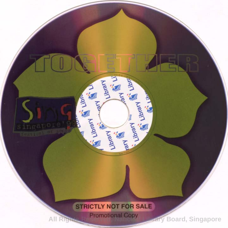